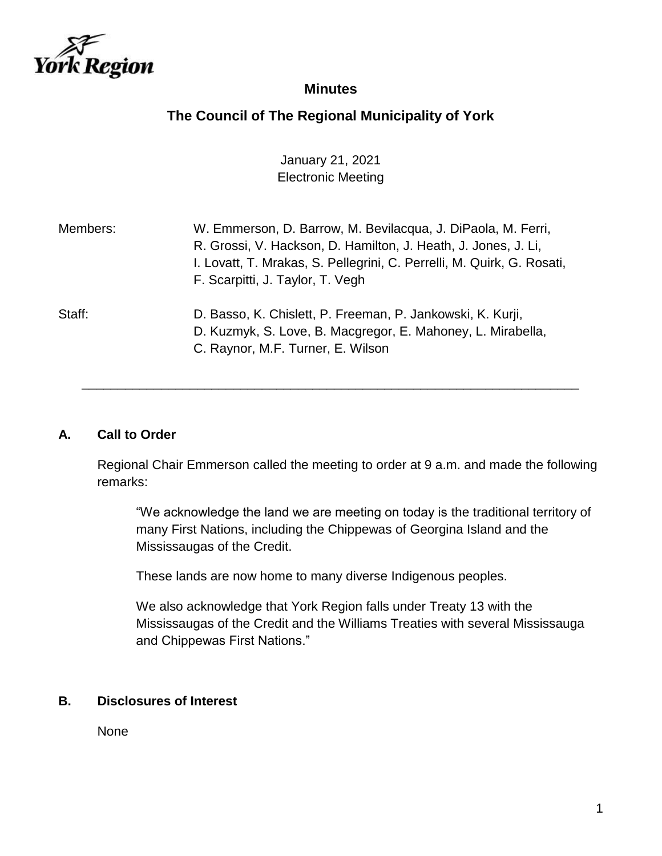

## **Minutes**

## **The Council of The Regional Municipality of York**

January 21, 2021 Electronic Meeting

| Members: | W. Emmerson, D. Barrow, M. Bevilacqua, J. DiPaola, M. Ferri,<br>R. Grossi, V. Hackson, D. Hamilton, J. Heath, J. Jones, J. Li,<br>I. Lovatt, T. Mrakas, S. Pellegrini, C. Perrelli, M. Quirk, G. Rosati,<br>F. Scarpitti, J. Taylor, T. Vegh |
|----------|----------------------------------------------------------------------------------------------------------------------------------------------------------------------------------------------------------------------------------------------|
| Staff:   | D. Basso, K. Chislett, P. Freeman, P. Jankowski, K. Kurji,<br>D. Kuzmyk, S. Love, B. Macgregor, E. Mahoney, L. Mirabella,<br>C. Raynor, M.F. Turner, E. Wilson                                                                               |

\_\_\_\_\_\_\_\_\_\_\_\_\_\_\_\_\_\_\_\_\_\_\_\_\_\_\_\_\_\_\_\_\_\_\_\_\_\_\_\_\_\_\_\_\_\_\_\_\_\_\_\_\_\_\_\_\_\_\_\_\_\_\_\_\_\_\_\_\_

#### **A. Call to Order**

Regional Chair Emmerson called the meeting to order at 9 a.m. and made the following remarks:

"We acknowledge the land we are meeting on today is the traditional territory of many First Nations, including the Chippewas of Georgina Island and the Mississaugas of the Credit.

These lands are now home to many diverse Indigenous peoples.

We also acknowledge that York Region falls under Treaty 13 with the Mississaugas of the Credit and the Williams Treaties with several Mississauga and Chippewas First Nations."

#### **B. Disclosures of Interest**

None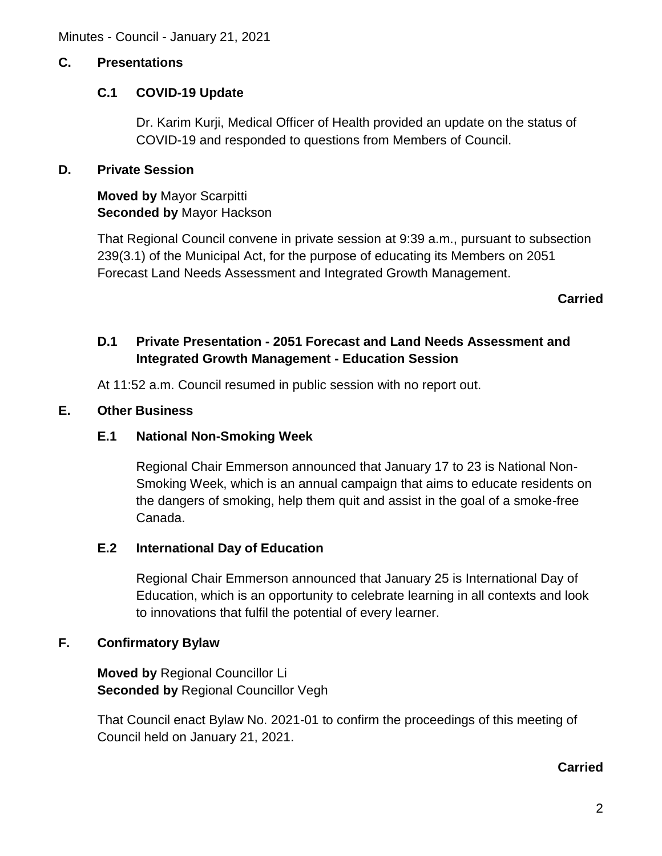Minutes - Council - January 21, 2021

## **C. Presentations**

## **C.1 COVID-19 Update**

Dr. Karim Kurji, Medical Officer of Health provided an update on the status of COVID-19 and responded to questions from Members of Council.

## **D. Private Session**

**Moved by** Mayor Scarpitti **Seconded by** Mayor Hackson

That Regional Council convene in private session at 9:39 a.m., pursuant to subsection 239(3.1) of the Municipal Act, for the purpose of educating its Members on 2051 Forecast Land Needs Assessment and Integrated Growth Management.

**Carried**

## **D.1 Private Presentation - 2051 Forecast and Land Needs Assessment and Integrated Growth Management - Education Session**

At 11:52 a.m. Council resumed in public session with no report out.

## **E. Other Business**

## **E.1 National Non-Smoking Week**

Regional Chair Emmerson announced that January 17 to 23 is National Non-Smoking Week, which is an annual campaign that aims to educate residents on the dangers of smoking, help them quit and assist in the goal of a smoke-free Canada.

## **E.2 International Day of Education**

Regional Chair Emmerson announced that January 25 is International Day of Education, which is an opportunity to celebrate learning in all contexts and look to innovations that fulfil the potential of every learner.

## **F. Confirmatory Bylaw**

**Moved by** Regional Councillor Li **Seconded by Regional Councillor Vegh** 

That Council enact Bylaw No. 2021-01 to confirm the proceedings of this meeting of Council held on January 21, 2021.

#### **Carried**